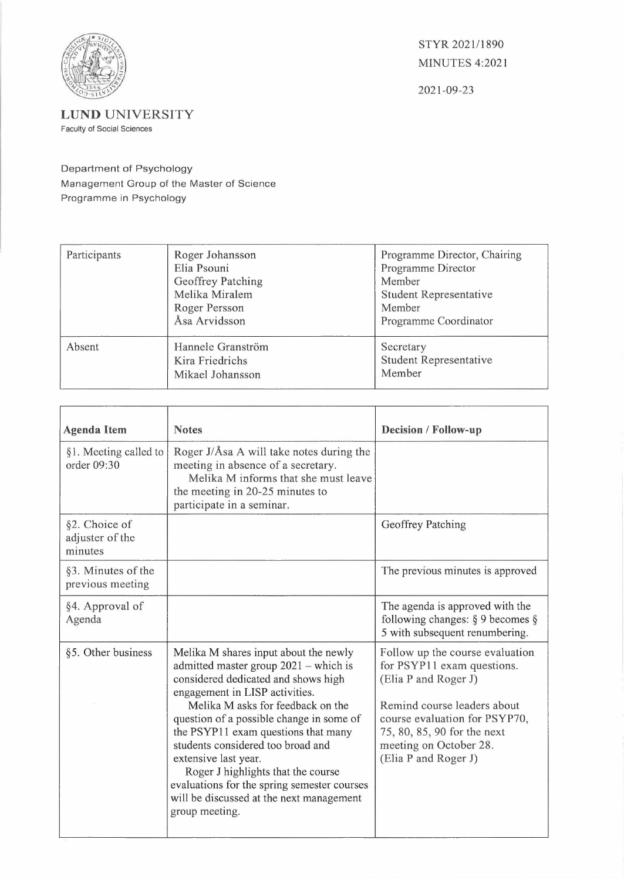

STYR 2021/1890 MINUTES 4:2021

2021-09-23

**LUND** UNIVERSITY

Faculty of Social Sciences

Department of Psychology Management Group of the Master of Science Programme in Psychology

| Participants | Roger Johansson<br>Elia Psouni<br>Geoffrey Patching<br>Melika Miralem<br>Roger Persson<br>Åsa Arvidsson | Programme Director, Chairing<br>Programme Director<br>Member<br>Student Representative<br>Member<br>Programme Coordinator |
|--------------|---------------------------------------------------------------------------------------------------------|---------------------------------------------------------------------------------------------------------------------------|
| Absent       | Hannele Granström<br>Kira Friedrichs<br>Mikael Johansson                                                | Secretary<br><b>Student Representative</b><br>Member                                                                      |

| <b>Agenda Item</b>                          | <b>Notes</b>                                                                                                                                                                                                                                                                                                                                                                                                                                                                                      | <b>Decision / Follow-up</b>                                                                                                                                                                                                            |
|---------------------------------------------|---------------------------------------------------------------------------------------------------------------------------------------------------------------------------------------------------------------------------------------------------------------------------------------------------------------------------------------------------------------------------------------------------------------------------------------------------------------------------------------------------|----------------------------------------------------------------------------------------------------------------------------------------------------------------------------------------------------------------------------------------|
| §1. Meeting called to<br>order 09:30        | Roger J/Åsa A will take notes during the<br>meeting in absence of a secretary.<br>Melika M informs that she must leave<br>the meeting in 20-25 minutes to<br>participate in a seminar.                                                                                                                                                                                                                                                                                                            |                                                                                                                                                                                                                                        |
| §2. Choice of<br>adjuster of the<br>minutes |                                                                                                                                                                                                                                                                                                                                                                                                                                                                                                   | Geoffrey Patching                                                                                                                                                                                                                      |
| §3. Minutes of the<br>previous meeting      |                                                                                                                                                                                                                                                                                                                                                                                                                                                                                                   | The previous minutes is approved                                                                                                                                                                                                       |
| §4. Approval of<br>Agenda                   |                                                                                                                                                                                                                                                                                                                                                                                                                                                                                                   | The agenda is approved with the<br>following changes: $\S$ 9 becomes $\S$<br>5 with subsequent renumbering.                                                                                                                            |
| §5. Other business                          | Melika M shares input about the newly<br>admitted master group $2021$ – which is<br>considered dedicated and shows high<br>engagement in LISP activities.<br>Melika M asks for feedback on the<br>question of a possible change in some of<br>the PSYP11 exam questions that many<br>students considered too broad and<br>extensive last year.<br>Roger J highlights that the course<br>evaluations for the spring semester courses<br>will be discussed at the next management<br>group meeting. | Follow up the course evaluation<br>for PSYP11 exam questions.<br>(Elia P and Roger J)<br>Remind course leaders about<br>course evaluation for PSYP70,<br>75, 80, 85, 90 for the next<br>meeting on October 28.<br>(Elia P and Roger J) |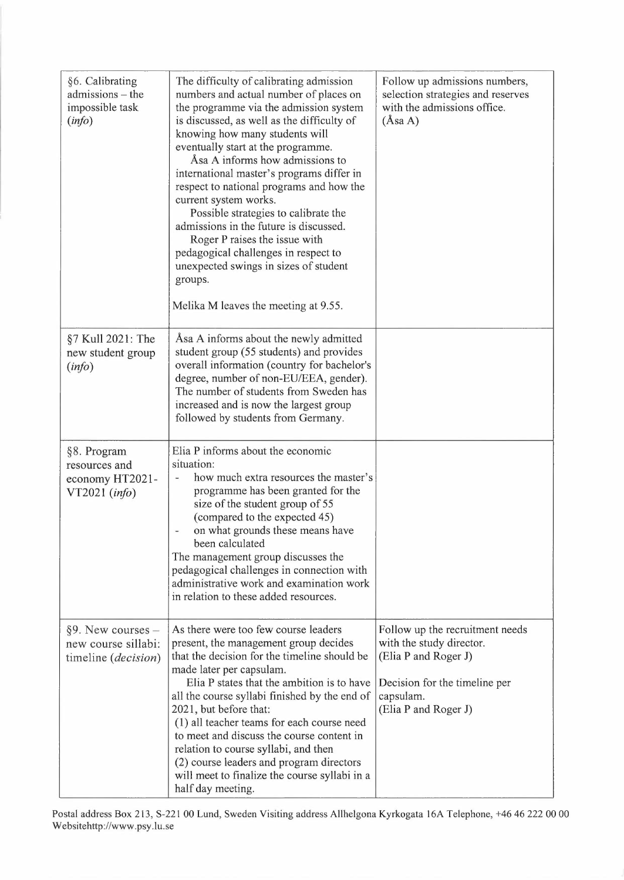| §6. Calibrating<br>admissions - the<br>impossible task<br>(info)             | The difficulty of calibrating admission<br>numbers and actual number of places on<br>the programme via the admission system<br>is discussed, as well as the difficulty of<br>knowing how many students will<br>eventually start at the programme.<br>Asa A informs how admissions to<br>international master's programs differ in<br>respect to national programs and how the<br>current system works.<br>Possible strategies to calibrate the<br>admissions in the future is discussed.<br>Roger P raises the issue with<br>pedagogical challenges in respect to<br>unexpected swings in sizes of student<br>groups.<br>Melika M leaves the meeting at 9.55. | Follow up admissions numbers,<br>selection strategies and reserves<br>with the admissions office.<br>(Asa A)                                              |
|------------------------------------------------------------------------------|---------------------------------------------------------------------------------------------------------------------------------------------------------------------------------------------------------------------------------------------------------------------------------------------------------------------------------------------------------------------------------------------------------------------------------------------------------------------------------------------------------------------------------------------------------------------------------------------------------------------------------------------------------------|-----------------------------------------------------------------------------------------------------------------------------------------------------------|
| §7 Kull 2021: The<br>new student group<br>(info)                             | Asa A informs about the newly admitted<br>student group (55 students) and provides<br>overall information (country for bachelor's<br>degree, number of non-EU/EEA, gender).<br>The number of students from Sweden has<br>increased and is now the largest group<br>followed by students from Germany.                                                                                                                                                                                                                                                                                                                                                         |                                                                                                                                                           |
| §8. Program<br>resources and<br>economy HT2021-<br>$VT2021$ (info)           | Elia P informs about the economic<br>situation:<br>how much extra resources the master's<br>programme has been granted for the<br>size of the student group of 55<br>(compared to the expected 45)<br>on what grounds these means have<br>been calculated<br>The management group discusses the<br>pedagogical challenges in connection with<br>administrative work and examination work<br>in relation to these added resources.                                                                                                                                                                                                                             |                                                                                                                                                           |
| $\S$ 9. New courses –<br>new course sillabi:<br>timeline ( <i>decision</i> ) | As there were too few course leaders<br>present, the management group decides<br>that the decision for the timeline should be<br>made later per capsulam.<br>Elia P states that the ambition is to have<br>all the course syllabi finished by the end of<br>2021, but before that:<br>(1) all teacher teams for each course need<br>to meet and discuss the course content in<br>relation to course syllabi, and then<br>(2) course leaders and program directors<br>will meet to finalize the course syllabi in a<br>half day meeting.                                                                                                                       | Follow up the recruitment needs<br>with the study director.<br>(Elia P and Roger J)<br>Decision for the timeline per<br>capsulam.<br>(Elia P and Roger J) |

Postal address Box 213, S-221 00 Lund, Sweden Visiting address Allhelgona Kyrkogata 16A Telephone, +46 46 222 00 00 Websitehttp://www.psy.lu.se